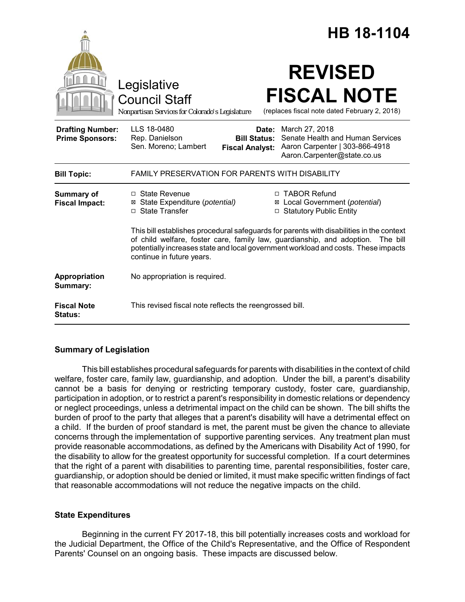|                                                   | HB 18-1104                                                                                                                                                                                                                                                                                        |
|---------------------------------------------------|---------------------------------------------------------------------------------------------------------------------------------------------------------------------------------------------------------------------------------------------------------------------------------------------------|
|                                                   | <b>REVISED</b><br>Legislative<br><b>FISCAL NOTE</b><br><b>Council Staff</b><br>(replaces fiscal note dated February 2, 2018)<br>Nonpartisan Services for Colorado's Legislature                                                                                                                   |
| <b>Drafting Number:</b><br><b>Prime Sponsors:</b> | LLS 18-0480<br>March 27, 2018<br>Date:<br>Senate Health and Human Services<br>Rep. Danielson<br><b>Bill Status:</b><br>Sen. Moreno; Lambert<br>Aaron Carpenter   303-866-4918<br><b>Fiscal Analyst:</b><br>Aaron.Carpenter@state.co.us                                                            |
| <b>Bill Topic:</b>                                | <b>FAMILY PRESERVATION FOR PARENTS WITH DISABILITY</b>                                                                                                                                                                                                                                            |
| <b>Summary of</b><br><b>Fiscal Impact:</b>        | $\Box$ State Revenue<br>□ TABOR Refund<br>⊠ Local Government (potential)<br>⊠ State Expenditure (potential)<br>□ State Transfer<br>□ Statutory Public Entity                                                                                                                                      |
|                                                   | This bill establishes procedural safeguards for parents with disabilities in the context<br>of child welfare, foster care, family law, guardianship, and adoption.<br>The bill<br>potentially increases state and local government workload and costs. These impacts<br>continue in future years. |
| Appropriation<br>Summary:                         | No appropriation is required.                                                                                                                                                                                                                                                                     |
| <b>Fiscal Note</b><br><b>Status:</b>              | This revised fiscal note reflects the reengrossed bill.                                                                                                                                                                                                                                           |

## **Summary of Legislation**

This bill establishes procedural safeguards for parents with disabilities in the context of child welfare, foster care, family law, guardianship, and adoption. Under the bill, a parent's disability cannot be a basis for denying or restricting temporary custody, foster care, guardianship, participation in adoption, or to restrict a parent's responsibility in domestic relations or dependency or neglect proceedings, unless a detrimental impact on the child can be shown. The bill shifts the burden of proof to the party that alleges that a parent's disability will have a detrimental effect on a child. If the burden of proof standard is met, the parent must be given the chance to alleviate concerns through the implementation of supportive parenting services. Any treatment plan must provide reasonable accommodations, as defined by the Americans with Disability Act of 1990, for the disability to allow for the greatest opportunity for successful completion. If a court determines that the right of a parent with disabilities to parenting time, parental responsibilities, foster care, guardianship, or adoption should be denied or limited, it must make specific written findings of fact that reasonable accommodations will not reduce the negative impacts on the child.

## **State Expenditures**

Beginning in the current FY 2017-18, this bill potentially increases costs and workload for the Judicial Department, the Office of the Child's Representative, and the Office of Respondent Parents' Counsel on an ongoing basis. These impacts are discussed below.